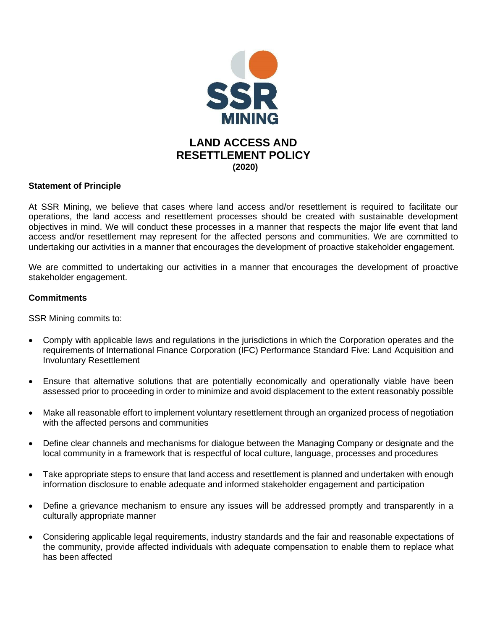

## **Statement of Principle**

At SSR Mining, we believe that cases where land access and/or resettlement is required to facilitate our operations, the land access and resettlement processes should be created with sustainable development objectives in mind. We will conduct these processes in a manner that respects the major life event that land access and/or resettlement may represent for the affected persons and communities. We are committed to undertaking our activities in a manner that encourages the development of proactive stakeholder engagement.

We are committed to undertaking our activities in a manner that encourages the development of proactive stakeholder engagement.

## **Commitments**

SSR Mining commits to:

- Comply with applicable laws and regulations in the jurisdictions in which the Corporation operates and the requirements of International Finance Corporation (IFC) Performance Standard Five: Land Acquisition and Involuntary Resettlement
- Ensure that alternative solutions that are potentially economically and operationally viable have been assessed prior to proceeding in order to minimize and avoid displacement to the extent reasonably possible
- Make all reasonable effort to implement voluntary resettlement through an organized process of negotiation with the affected persons and communities
- Define clear channels and mechanisms for dialogue between the Managing Company or designate and the local community in a framework that is respectful of local culture, language, processes and procedures
- Take appropriate steps to ensure that land access and resettlement is planned and undertaken with enough information disclosure to enable adequate and informed stakeholder engagement and participation
- Define a grievance mechanism to ensure any issues will be addressed promptly and transparently in a culturally appropriate manner
- Considering applicable legal requirements, industry standards and the fair and reasonable expectations of the community, provide affected individuals with adequate compensation to enable them to replace what has been affected